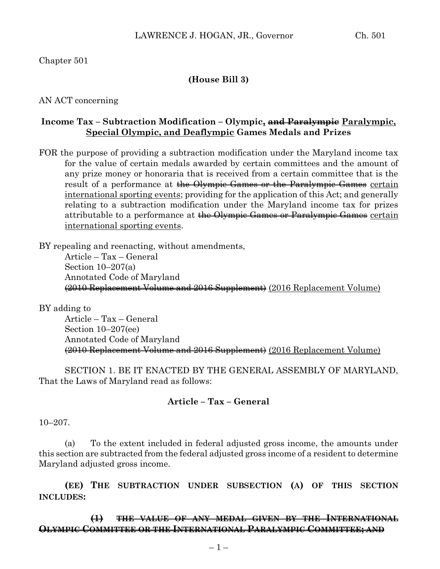Chapter 501

#### **(House Bill 3)**

AN ACT concerning

#### **Income Tax – Subtraction Modification – Olympic, and Paralympic Paralympic, Special Olympic, and Deaflympic Games Medals and Prizes**

FOR the purpose of providing a subtraction modification under the Maryland income tax for the value of certain medals awarded by certain committees and the amount of any prize money or honoraria that is received from a certain committee that is the result of a performance at the Olympic Games or the Paralympic Games certain international sporting events; providing for the application of this Act; and generally relating to a subtraction modification under the Maryland income tax for prizes attributable to a performance at the Olympic Games or Paralympic Games certain international sporting events.

BY repealing and reenacting, without amendments,

Article – Tax – General Section 10–207(a) Annotated Code of Maryland (2010 Replacement Volume and 2016 Supplement) (2016 Replacement Volume)

BY adding to

Article – Tax – General Section 10–207(ee) Annotated Code of Maryland (2010 Replacement Volume and 2016 Supplement) (2016 Replacement Volume)

SECTION 1. BE IT ENACTED BY THE GENERAL ASSEMBLY OF MARYLAND, That the Laws of Maryland read as follows:

#### **Article – Tax – General**

10–207.

(a) To the extent included in federal adjusted gross income, the amounts under this section are subtracted from the federal adjusted gross income of a resident to determine Maryland adjusted gross income.

**(EE) THE SUBTRACTION UNDER SUBSECTION (A) OF THIS SECTION INCLUDES:**

**(1) THE VALUE OF ANY MEDAL GIVEN BY THE INTERNATIONAL OLYMPIC COMMITTEE OR THE INTERNATIONAL PARALYMPIC COMMITTEE; AND**